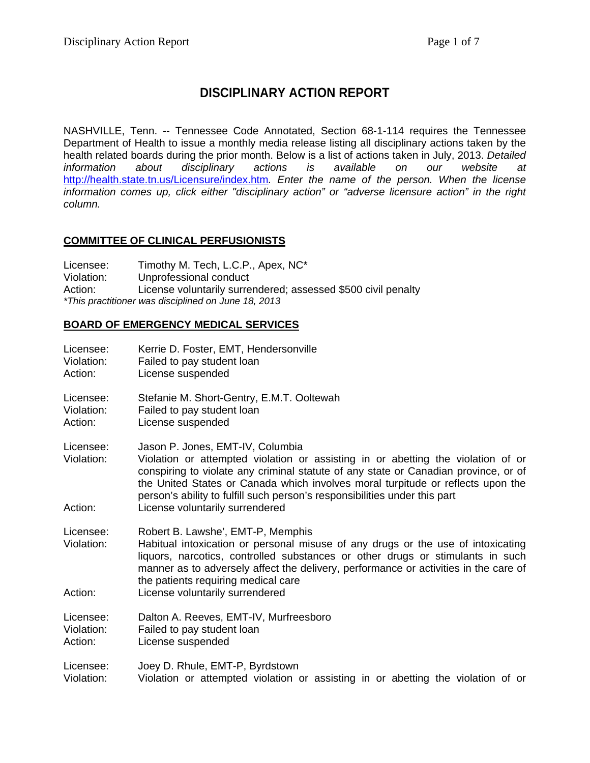# **DISCIPLINARY ACTION REPORT**

NASHVILLE, Tenn. -- Tennessee Code Annotated, Section 68-1-114 requires the Tennessee Department of Health to issue a monthly media release listing all disciplinary actions taken by the health related boards during the prior month. Below is a list of actions taken in July, 2013. *Detailed information about disciplinary actions is available on our website at*  <http://health.state.tn.us/Licensure/index.htm>*. Enter the name of the person. When the license information comes up, click either "disciplinary action" or "adverse licensure action" in the right column.*

# **COMMITTEE OF CLINICAL PERFUSIONISTS**

Licensee: Timothy M. Tech, L.C.P., Apex, NC\* Violation: Unprofessional conduct Action: License voluntarily surrendered; assessed \$500 civil penalty *\*This practitioner was disciplined on June 18, 2013*

## **BOARD OF EMERGENCY MEDICAL SERVICES**

| Licensee:               | Kerrie D. Foster, EMT, Hendersonville                                                                                                                                                                                                                                                                                                                                        |
|-------------------------|------------------------------------------------------------------------------------------------------------------------------------------------------------------------------------------------------------------------------------------------------------------------------------------------------------------------------------------------------------------------------|
| Violation:              | Failed to pay student loan                                                                                                                                                                                                                                                                                                                                                   |
| Action:                 | License suspended                                                                                                                                                                                                                                                                                                                                                            |
| Licensee:               | Stefanie M. Short-Gentry, E.M.T. Ooltewah                                                                                                                                                                                                                                                                                                                                    |
| Violation:              | Failed to pay student loan                                                                                                                                                                                                                                                                                                                                                   |
| Action:                 | License suspended                                                                                                                                                                                                                                                                                                                                                            |
| Licensee:<br>Violation: | Jason P. Jones, EMT-IV, Columbia<br>Violation or attempted violation or assisting in or abetting the violation of or<br>conspiring to violate any criminal statute of any state or Canadian province, or of<br>the United States or Canada which involves moral turpitude or reflects upon the<br>person's ability to fulfill such person's responsibilities under this part |
| Action:                 | License voluntarily surrendered                                                                                                                                                                                                                                                                                                                                              |
| Licensee:<br>Violation: | Robert B. Lawshe', EMT-P, Memphis<br>Habitual intoxication or personal misuse of any drugs or the use of intoxicating<br>liquors, narcotics, controlled substances or other drugs or stimulants in such<br>manner as to adversely affect the delivery, performance or activities in the care of<br>the patients requiring medical care                                       |
| Action:                 | License voluntarily surrendered                                                                                                                                                                                                                                                                                                                                              |
| Licensee:               | Dalton A. Reeves, EMT-IV, Murfreesboro                                                                                                                                                                                                                                                                                                                                       |
| Violation:              | Failed to pay student loan                                                                                                                                                                                                                                                                                                                                                   |
| Action:                 | License suspended                                                                                                                                                                                                                                                                                                                                                            |
| Licensee:               | Joey D. Rhule, EMT-P, Byrdstown                                                                                                                                                                                                                                                                                                                                              |
| Violation:              | Violation or attempted violation or assisting in or abetting the violation of or                                                                                                                                                                                                                                                                                             |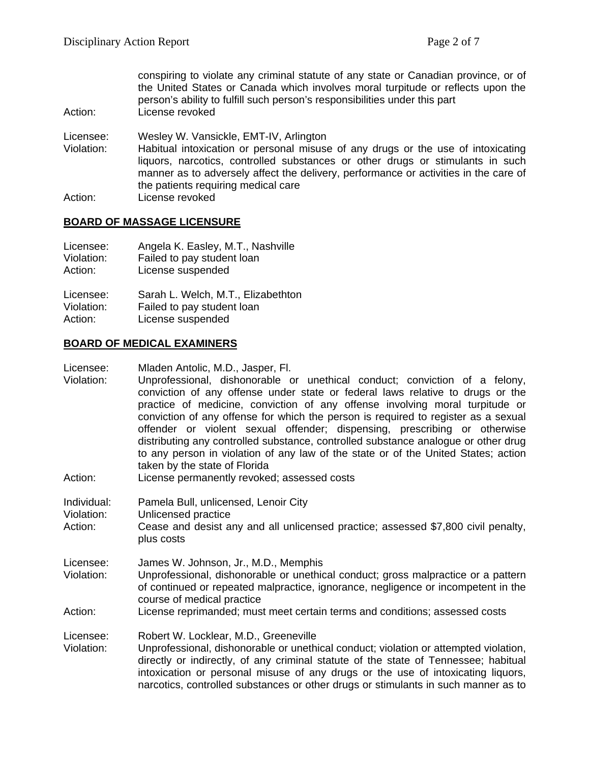conspiring to violate any criminal statute of any state or Canadian province, or of the United States or Canada which involves moral turpitude or reflects upon the person's ability to fulfill such person's responsibilities under this part

Action: License revoked

Licensee: Wesley W. Vansickle, EMT-IV, Arlington

Violation: Habitual intoxication or personal misuse of any drugs or the use of intoxicating liquors, narcotics, controlled substances or other drugs or stimulants in such manner as to adversely affect the delivery, performance or activities in the care of the patients requiring medical care

Action: License revoked

### **BOARD OF MASSAGE LICENSURE**

| Licensee:  | Angela K. Easley, M.T., Nashville  |
|------------|------------------------------------|
| Violation: | Failed to pay student loan         |
| Action:    | License suspended                  |
| Licensee:  | Sarah L. Welch, M.T., Elizabethton |
| Violation: | Failed to pay student loan         |
| Action:    | License suspended                  |

### **BOARD OF MEDICAL EXAMINERS**

Licensee: Mladen Antolic, M.D., Jasper, Fl.

- Violation: Unprofessional, dishonorable or unethical conduct; conviction of a felony, conviction of any offense under state or federal laws relative to drugs or the practice of medicine, conviction of any offense involving moral turpitude or conviction of any offense for which the person is required to register as a sexual offender or violent sexual offender; dispensing, prescribing or otherwise distributing any controlled substance, controlled substance analogue or other drug to any person in violation of any law of the state or of the United States; action taken by the state of Florida
- Action: License permanently revoked; assessed costs

Individual: Pamela Bull, unlicensed, Lenoir City

Violation: Unlicensed practice

Action: Cease and desist any and all unlicensed practice; assessed \$7,800 civil penalty, plus costs

Licensee: James W. Johnson, Jr., M.D., Memphis

Violation: Unprofessional, dishonorable or unethical conduct; gross malpractice or a pattern of continued or repeated malpractice, ignorance, negligence or incompetent in the course of medical practice

Action: License reprimanded; must meet certain terms and conditions; assessed costs

Licensee: Robert W. Locklear, M.D., Greeneville<br>Violation: Unprofessional. dishonorable or unethi

Unprofessional, dishonorable or unethical conduct; violation or attempted violation, directly or indirectly, of any criminal statute of the state of Tennessee; habitual intoxication or personal misuse of any drugs or the use of intoxicating liquors, narcotics, controlled substances or other drugs or stimulants in such manner as to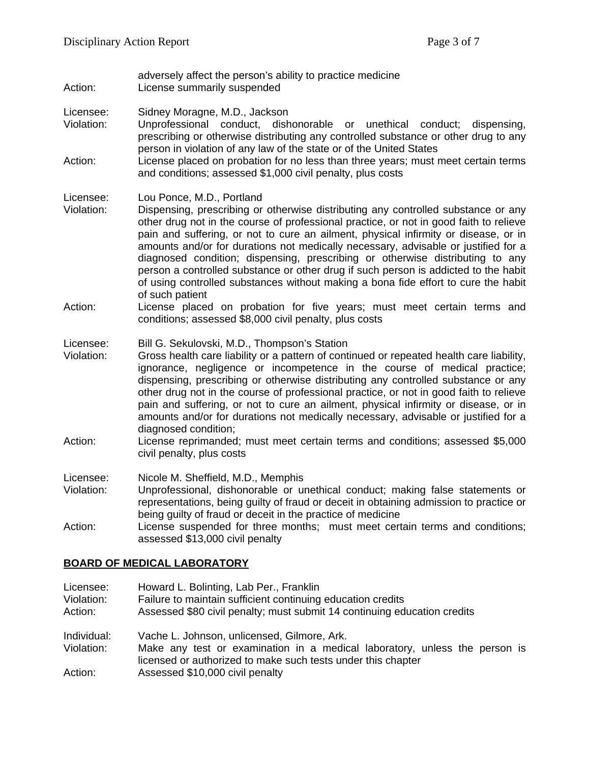adversely affect the person's ability to practice medicine Action: License summarily suspended

- Licensee: Sidney Moragne, M.D., Jackson
- Violation: Unprofessional conduct, dishonorable or unethical conduct; dispensing, prescribing or otherwise distributing any controlled substance or other drug to any person in violation of any law of the state or of the United States
- Action: License placed on probation for no less than three years; must meet certain terms and conditions; assessed \$1,000 civil penalty, plus costs

#### Licensee: Lou Ponce, M.D., Portland

- Violation: Dispensing, prescribing or otherwise distributing any controlled substance or any other drug not in the course of professional practice, or not in good faith to relieve pain and suffering, or not to cure an ailment, physical infirmity or disease, or in amounts and/or for durations not medically necessary, advisable or justified for a diagnosed condition; dispensing, prescribing or otherwise distributing to any person a controlled substance or other drug if such person is addicted to the habit of using controlled substances without making a bona fide effort to cure the habit of such patient
- Action: License placed on probation for five years; must meet certain terms and conditions; assessed \$8,000 civil penalty, plus costs
- Licensee: Bill G. Sekulovski, M.D., Thompson's Station
- Violation: Gross health care liability or a pattern of continued or repeated health care liability, ignorance, negligence or incompetence in the course of medical practice; dispensing, prescribing or otherwise distributing any controlled substance or any other drug not in the course of professional practice, or not in good faith to relieve pain and suffering, or not to cure an ailment, physical infirmity or disease, or in amounts and/or for durations not medically necessary, advisable or justified for a diagnosed condition;
- Action: License reprimanded; must meet certain terms and conditions; assessed \$5,000 civil penalty, plus costs
- Licensee: Nicole M. Sheffield, M.D., Memphis
- Violation: Unprofessional, dishonorable or unethical conduct; making false statements or representations, being guilty of fraud or deceit in obtaining admission to practice or being guilty of fraud or deceit in the practice of medicine
- Action: License suspended for three months; must meet certain terms and conditions; assessed \$13,000 civil penalty

### **BOARD OF MEDICAL LABORATORY**

| Licensee:   | Howard L. Bolinting, Lab Per., Franklin                                                                                                    |
|-------------|--------------------------------------------------------------------------------------------------------------------------------------------|
| Violation:  | Failure to maintain sufficient continuing education credits                                                                                |
| Action:     | Assessed \$80 civil penalty; must submit 14 continuing education credits                                                                   |
| Individual: | Vache L. Johnson, unlicensed, Gilmore, Ark.                                                                                                |
| Violation:  | Make any test or examination in a medical laboratory, unless the person is<br>licensed or authorized to make such tests under this chapter |
| Action:     | Assessed \$10,000 civil penalty                                                                                                            |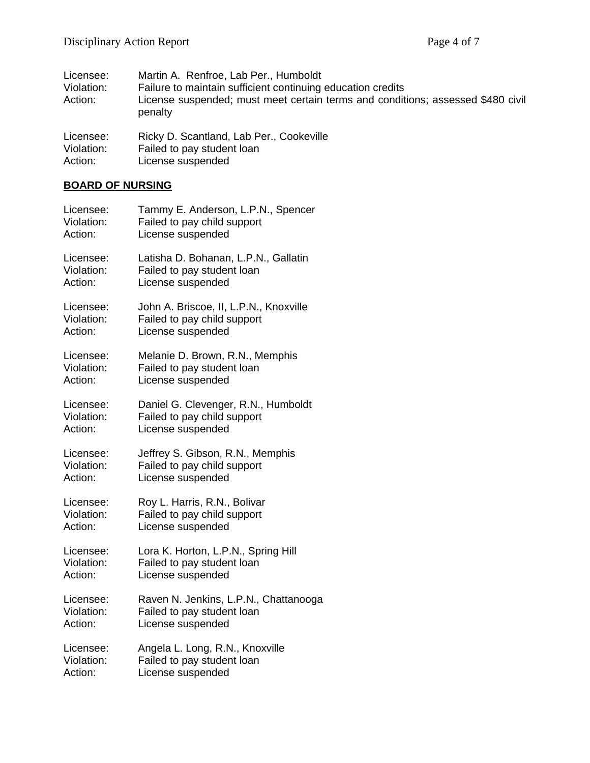| Licensee:<br>Violation:<br>Action: | Martin A. Renfroe, Lab Per., Humboldt<br>Failure to maintain sufficient continuing education credits<br>License suspended; must meet certain terms and conditions; assessed \$480 civil<br>penalty |
|------------------------------------|----------------------------------------------------------------------------------------------------------------------------------------------------------------------------------------------------|
| Licensee:                          | Ricky D. Scantland, Lab Per., Cookeville                                                                                                                                                           |
| Violation:                         | Failed to pay student loan                                                                                                                                                                         |

# Action: License suspended

# **BOARD OF NURSING**

| Licensee:  | Tammy E. Anderson, L.P.N., Spencer     |
|------------|----------------------------------------|
| Violation: | Failed to pay child support            |
| Action:    | License suspended                      |
| Licensee:  | Latisha D. Bohanan, L.P.N., Gallatin   |
| Violation: | Failed to pay student loan             |
| Action:    | License suspended                      |
| Licensee:  | John A. Briscoe, II, L.P.N., Knoxville |
| Violation: | Failed to pay child support            |
| Action:    | License suspended                      |
| Licensee:  | Melanie D. Brown, R.N., Memphis        |
| Violation: | Failed to pay student loan             |
| Action:    | License suspended                      |
| Licensee:  | Daniel G. Clevenger, R.N., Humboldt    |
| Violation: | Failed to pay child support            |
| Action:    | License suspended                      |
| Licensee:  | Jeffrey S. Gibson, R.N., Memphis       |
| Violation: | Failed to pay child support            |
| Action:    | License suspended                      |
| Licensee:  | Roy L. Harris, R.N., Bolivar           |
| Violation: | Failed to pay child support            |
| Action:    | License suspended                      |
| Licensee:  | Lora K. Horton, L.P.N., Spring Hill    |
| Violation: | Failed to pay student loan             |
| Action:    | License suspended                      |
| Licensee:  | Raven N. Jenkins, L.P.N., Chattanooga  |
| Violation: | Failed to pay student loan             |
| Action:    | License suspended                      |
| Licensee:  | Angela L. Long, R.N., Knoxville        |
| Violation: | Failed to pay student loan             |
| Action:    | License suspended                      |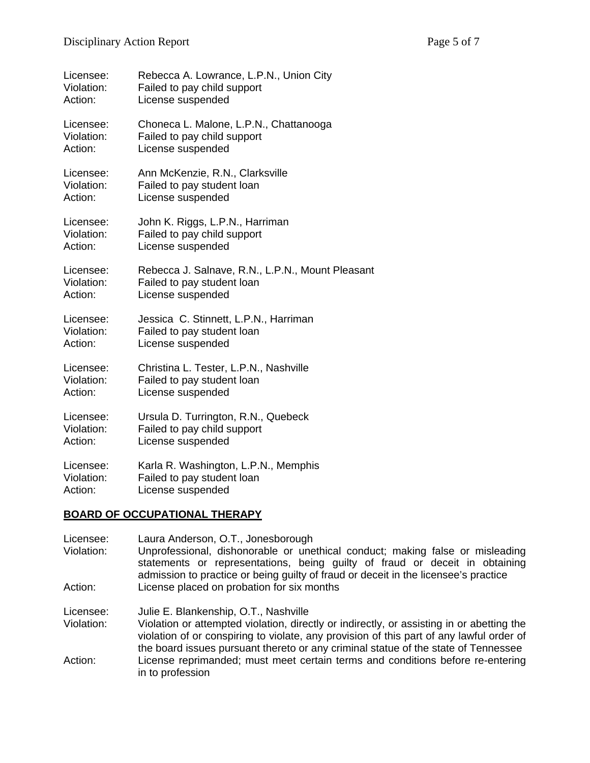| Licensee:  | Rebecca A. Lowrance, L.P.N., Union City          |
|------------|--------------------------------------------------|
| Violation: | Failed to pay child support                      |
| Action:    | License suspended                                |
| Licensee:  | Choneca L. Malone, L.P.N., Chattanooga           |
| Violation: | Failed to pay child support                      |
| Action:    | License suspended                                |
| Licensee:  | Ann McKenzie, R.N., Clarksville                  |
| Violation: | Failed to pay student loan                       |
| Action:    | License suspended                                |
| Licensee:  | John K. Riggs, L.P.N., Harriman                  |
| Violation: | Failed to pay child support                      |
| Action:    | License suspended                                |
| Licensee:  | Rebecca J. Salnave, R.N., L.P.N., Mount Pleasant |
| Violation: | Failed to pay student loan                       |
| Action:    | License suspended                                |
| Licensee:  | Jessica C. Stinnett, L.P.N., Harriman            |
| Violation: | Failed to pay student loan                       |
| Action:    | License suspended                                |
| Licensee:  | Christina L. Tester, L.P.N., Nashville           |
| Violation: | Failed to pay student loan                       |
| Action:    | License suspended                                |
| Licensee:  | Ursula D. Turrington, R.N., Quebeck              |
| Violation: | Failed to pay child support                      |
| Action:    | License suspended                                |
| Licensee:  | Karla R. Washington, L.P.N., Memphis             |
| Violation: | Failed to pay student loan                       |
| Action:    | License suspended                                |

### **BOARD OF OCCUPATIONAL THERAPY**

in to profession

Licensee: Laura Anderson, O.T., Jonesborough<br>Violation: Unprofessional. dishonorable or une Unprofessional, dishonorable or unethical conduct; making false or misleading statements or representations, being guilty of fraud or deceit in obtaining admission to practice or being guilty of fraud or deceit in the licensee's practice Action: License placed on probation for six months

Licensee: Julie E. Blankenship, O.T., Nashville Violation: Violation or attempted violation, directly or indirectly, or assisting in or abetting the violation of or conspiring to violate, any provision of this part of any lawful order of the board issues pursuant thereto or any criminal statue of the state of Tennessee Action: License reprimanded; must meet certain terms and conditions before re-entering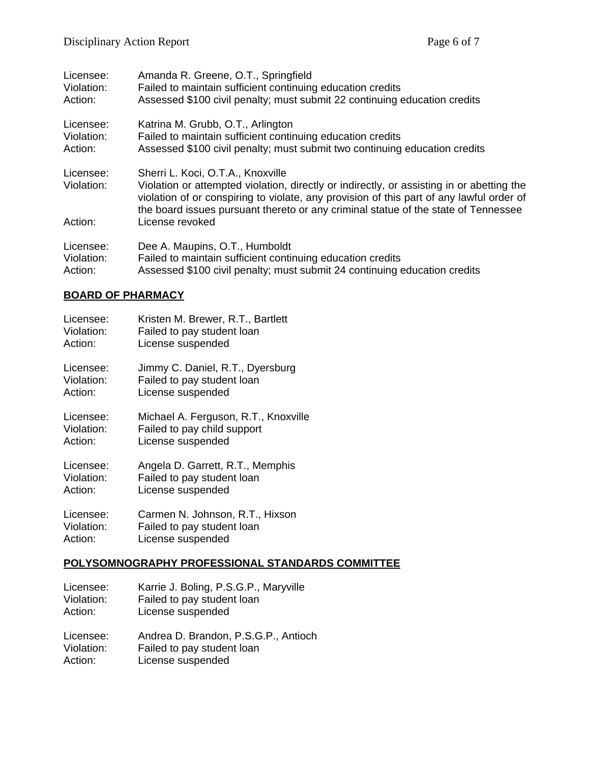| Licensee:<br>Violation:<br>Action: | Amanda R. Greene, O.T., Springfield<br>Failed to maintain sufficient continuing education credits<br>Assessed \$100 civil penalty; must submit 22 continuing education credits                                                                                              |
|------------------------------------|-----------------------------------------------------------------------------------------------------------------------------------------------------------------------------------------------------------------------------------------------------------------------------|
| Licensee:                          | Katrina M. Grubb, O.T., Arlington                                                                                                                                                                                                                                           |
| Violation:                         | Failed to maintain sufficient continuing education credits                                                                                                                                                                                                                  |
| Action:                            | Assessed \$100 civil penalty; must submit two continuing education credits                                                                                                                                                                                                  |
| Licensee:                          | Sherri L. Koci, O.T.A., Knoxville                                                                                                                                                                                                                                           |
| Violation:                         | Violation or attempted violation, directly or indirectly, or assisting in or abetting the<br>violation of or conspiring to violate, any provision of this part of any lawful order of<br>the board issues pursuant thereto or any criminal statue of the state of Tennessee |
| Action:                            | License revoked                                                                                                                                                                                                                                                             |
| Licensee:                          | Dee A. Maupins, O.T., Humboldt                                                                                                                                                                                                                                              |
| Violation:                         | Failed to maintain sufficient continuing education credits                                                                                                                                                                                                                  |
| Action:                            | Assessed \$100 civil penalty; must submit 24 continuing education credits                                                                                                                                                                                                   |
|                                    |                                                                                                                                                                                                                                                                             |

# **BOARD OF PHARMACY**

| Licensee:  | Kristen M. Brewer, R.T., Bartlett    |
|------------|--------------------------------------|
| Violation: | Failed to pay student loan           |
| Action:    | License suspended                    |
| Licensee:  | Jimmy C. Daniel, R.T., Dyersburg     |
| Violation: | Failed to pay student loan           |
| Action:    | License suspended                    |
| Licensee:  | Michael A. Ferguson, R.T., Knoxville |
| Violation: | Failed to pay child support          |
| Action:    | License suspended                    |
| Licensee:  | Angela D. Garrett, R.T., Memphis     |
| Violation: | Failed to pay student loan           |
| Action:    | License suspended                    |
| Licensee:  | Carmen N. Johnson, R.T., Hixson      |
| Violation: | Failed to pay student loan           |
| Action:    | License suspended                    |

### **POLYSOMNOGRAPHY PROFESSIONAL STANDARDS COMMITTEE**

| Licensee:  | Karrie J. Boling, P.S.G.P., Maryville |
|------------|---------------------------------------|
| Violation: | Failed to pay student loan            |
| Action:    | License suspended                     |
| Licensee:  | Andrea D. Brandon, P.S.G.P., Antioch  |
| Violation: | Failed to pay student loan            |
| Action:    | License suspended                     |